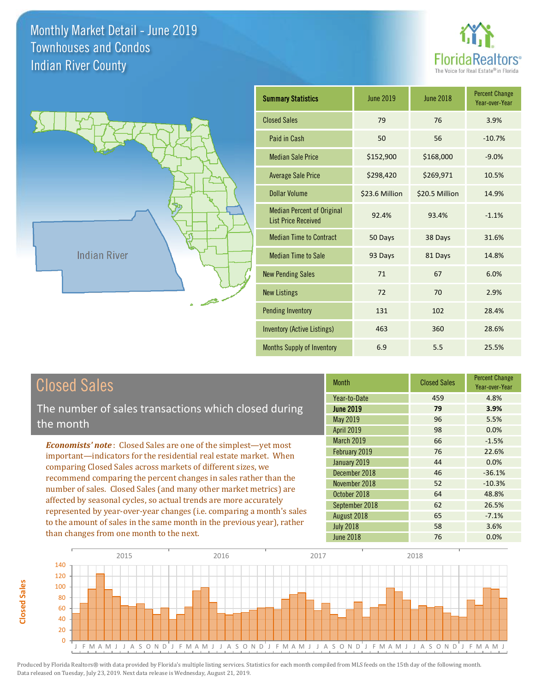



| <b>Summary Statistics</b>                                       | <b>June 2019</b> | <b>June 2018</b> | <b>Percent Change</b><br>Year-over-Year |
|-----------------------------------------------------------------|------------------|------------------|-----------------------------------------|
| <b>Closed Sales</b>                                             | 79               | 76               | 3.9%                                    |
| Paid in Cash                                                    | 50               | 56               | $-10.7%$                                |
| <b>Median Sale Price</b>                                        | \$152,900        | \$168,000        | $-9.0%$                                 |
| <b>Average Sale Price</b>                                       | \$298,420        | \$269,971        | 10.5%                                   |
| Dollar Volume                                                   | \$23.6 Million   | \$20.5 Million   | 14.9%                                   |
| <b>Median Percent of Original</b><br><b>List Price Received</b> | 92.4%            | 93.4%            | $-1.1%$                                 |
| <b>Median Time to Contract</b>                                  | 50 Days          | 38 Days          | 31.6%                                   |
| <b>Median Time to Sale</b>                                      | 93 Days          | 81 Days          | 14.8%                                   |
| <b>New Pending Sales</b>                                        | 71               | 67               | 6.0%                                    |
| <b>New Listings</b>                                             | 72               | 70               | 2.9%                                    |
| <b>Pending Inventory</b>                                        | 131              | 102              | 28.4%                                   |
| <b>Inventory (Active Listings)</b>                              | 463              | 360              | 28.6%                                   |
| Months Supply of Inventory                                      | 6.9              | 5.5              | 25.5%                                   |

# Closed Sales

The number of sales transactions which closed during the month

*Economists' note* : Closed Sales are one of the simplest—yet most important—indicators for the residential real estate market. When comparing Closed Sales across markets of different sizes, we recommend comparing the percent changes in sales rather than the number of sales. Closed Sales (and many other market metrics) are affected by seasonal cycles, so actual trends are more accurately represented by year-over-year changes (i.e. comparing a month's sales to the amount of sales in the same month in the previous year), rather than changes from one month to the next.

| Month             | <b>Closed Sales</b> | <b>Percent Change</b><br>Year-over-Year |
|-------------------|---------------------|-----------------------------------------|
| Year-to-Date      | 459                 | 4.8%                                    |
| <b>June 2019</b>  | 79                  | 3.9%                                    |
| May 2019          | 96                  | 5.5%                                    |
| <b>April 2019</b> | 98                  | 0.0%                                    |
| March 2019        | 66                  | $-1.5%$                                 |
| February 2019     | 76                  | 22.6%                                   |
| January 2019      | 44                  | 0.0%                                    |
| December 2018     | 46                  | $-36.1%$                                |
| November 2018     | 52                  | $-10.3%$                                |
| October 2018      | 64                  | 48.8%                                   |
| September 2018    | 62                  | 26.5%                                   |
| August 2018       | 65                  | $-7.1%$                                 |
| <b>July 2018</b>  | 58                  | 3.6%                                    |
| <b>June 2018</b>  | 76                  | 0.0%                                    |

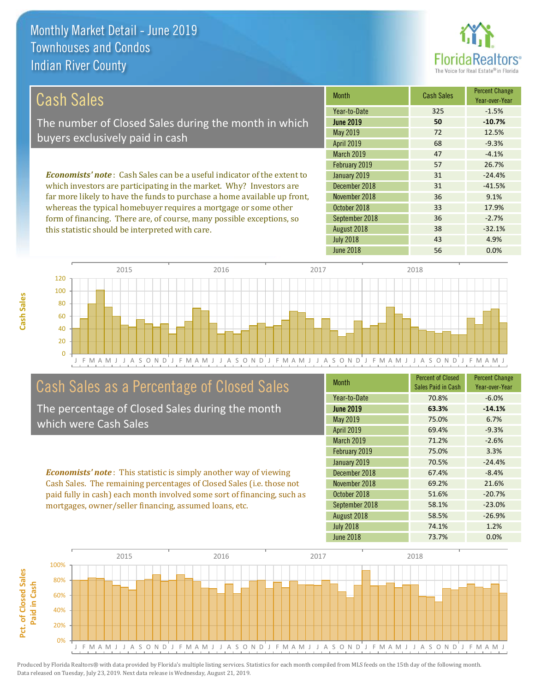

36 -2.7%

38 -32.1%

| Cash Sales                                                                     | <b>Month</b>      | <b>Cash Sales</b> | <b>Percent Change</b><br>Year-over-Year |
|--------------------------------------------------------------------------------|-------------------|-------------------|-----------------------------------------|
|                                                                                | Year-to-Date      | 325               | $-1.5%$                                 |
| The number of Closed Sales during the month in which                           | <b>June 2019</b>  | 50                | $-10.7%$                                |
| buyers exclusively paid in cash                                                | May 2019          | 72                | 12.5%                                   |
|                                                                                | <b>April 2019</b> | 68                | $-9.3%$                                 |
|                                                                                | <b>March 2019</b> | 47                | $-4.1%$                                 |
|                                                                                | February 2019     | 57                | 26.7%                                   |
| <b>Economists' note:</b> Cash Sales can be a useful indicator of the extent to | January 2019      | 31                | $-24.4%$                                |
| which investors are participating in the market. Why? Investors are            | December 2018     | 31                | $-41.5%$                                |
| far more likely to have the funds to purchase a home available up front,       | November 2018     | 36                | 9.1%                                    |

J F M A M J J A S O N D J F M A M J J A S O N D J F M A M J J A S O N D J F M A M J J A S O N D J F M A M J 0 20 40 60 80 100 120 2015 2016 2017 2018

## Cash Sales as a Percentage of Closed Sales

whereas the typical homebuyer requires a mortgage or some other form of financing. There are, of course, many possible exceptions, so

this statistic should be interpreted with care.

The percentage of Closed Sales during the month which were Cash Sales

*Economists' note* : This statistic is simply another way of viewing Cash Sales. The remaining percentages of Closed Sales (i.e. those not paid fully in cash) each month involved some sort of financing, such as mortgages, owner/seller financing, assumed loans, etc.

| <b>Month</b>      | <b>Percent of Closed</b><br>Sales Paid in Cash | <b>Percent Change</b><br>Year-over-Year |
|-------------------|------------------------------------------------|-----------------------------------------|
| Year-to-Date      | 70.8%                                          | $-6.0%$                                 |
| <b>June 2019</b>  | 63.3%                                          | $-14.1%$                                |
| May 2019          | 75.0%                                          | 6.7%                                    |
| <b>April 2019</b> | 69.4%                                          | $-9.3%$                                 |
| <b>March 2019</b> | 71.2%                                          | $-2.6%$                                 |
| February 2019     | 75.0%                                          | 3.3%                                    |
| January 2019      | 70.5%                                          | $-24.4%$                                |
| December 2018     | 67.4%                                          | $-8.4%$                                 |
| November 2018     | 69.2%                                          | 21.6%                                   |
| October 2018      | 51.6%                                          | $-20.7%$                                |
| September 2018    | 58.1%                                          | $-23.0%$                                |
| August 2018       | 58.5%                                          | $-26.9%$                                |
| <b>July 2018</b>  | 74.1%                                          | 1.2%                                    |
| <b>June 2018</b>  | 73.7%                                          | 0.0%                                    |

June 2018 **56** 0.0%

July 2018 **43** 4.9%

October 2018 **33** 17.9%

August 2018

September 2018

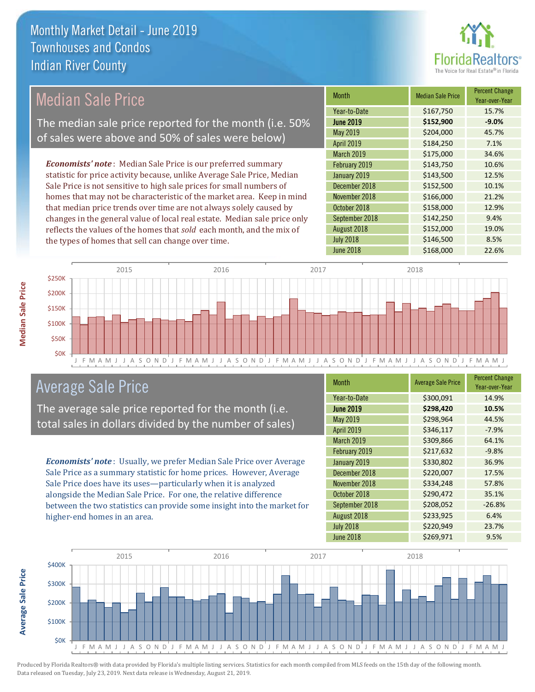

## Median Sale Price

The median sale price reported for the month (i.e. 50% of sales were above and 50% of sales were below)

*Economists' note* : Median Sale Price is our preferred summary statistic for price activity because, unlike Average Sale Price, Median Sale Price is not sensitive to high sale prices for small numbers of homes that may not be characteristic of the market area. Keep in mind that median price trends over time are not always solely caused by changes in the general value of local real estate. Median sale price only reflects the values of the homes that *sold* each month, and the mix of the types of homes that sell can change over time.

| <b>Month</b>      | <b>Median Sale Price</b> | <b>Percent Change</b><br>Year-over-Year |
|-------------------|--------------------------|-----------------------------------------|
| Year-to-Date      | \$167,750                | 15.7%                                   |
| <b>June 2019</b>  | \$152,900                | $-9.0%$                                 |
| May 2019          | \$204,000                | 45.7%                                   |
| <b>April 2019</b> | \$184,250                | 7.1%                                    |
| March 2019        | \$175,000                | 34.6%                                   |
| February 2019     | \$143,750                | 10.6%                                   |
| January 2019      | \$143,500                | 12.5%                                   |
| December 2018     | \$152,500                | 10.1%                                   |
| November 2018     | \$166,000                | 21.2%                                   |
| October 2018      | \$158,000                | 12.9%                                   |
| September 2018    | \$142,250                | 9.4%                                    |
| August 2018       | \$152,000                | 19.0%                                   |
| <b>July 2018</b>  | \$146,500                | 8.5%                                    |
| <b>June 2018</b>  | \$168,000                | 22.6%                                   |



## Average Sale Price

The average sale price reported for the month (i.e. total sales in dollars divided by the number of sales)

*Economists' note* : Usually, we prefer Median Sale Price over Average Sale Price as a summary statistic for home prices. However, Average Sale Price does have its uses—particularly when it is analyzed alongside the Median Sale Price. For one, the relative difference between the two statistics can provide some insight into the market for higher-end homes in an area.

| <b>Month</b>      | <b>Average Sale Price</b> | <b>Percent Change</b><br>Year-over-Year |
|-------------------|---------------------------|-----------------------------------------|
| Year-to-Date      | \$300,091                 | 14.9%                                   |
| <b>June 2019</b>  | \$298,420                 | 10.5%                                   |
| May 2019          | \$298,964                 | 44.5%                                   |
| <b>April 2019</b> | \$346,117                 | $-7.9%$                                 |
| March 2019        | \$309,866                 | 64.1%                                   |
| February 2019     | \$217,632                 | $-9.8%$                                 |
| January 2019      | \$330,802                 | 36.9%                                   |
| December 2018     | \$220,007                 | 17.5%                                   |
| November 2018     | \$334,248                 | 57.8%                                   |
| October 2018      | \$290,472                 | 35.1%                                   |
| September 2018    | \$208,052                 | $-26.8%$                                |
| August 2018       | \$233,925                 | 6.4%                                    |
| <b>July 2018</b>  | \$220,949                 | 23.7%                                   |
| <b>June 2018</b>  | \$269,971                 | 9.5%                                    |



Produced by Florida Realtors® with data provided by Florida's multiple listing services. Statistics for each month compiled from MLS feeds on the 15th day of the following month. Data released on Tuesday, July 23, 2019. Next data release is Wednesday, August 21, 2019.

**Average Sale Price**

Average Sale Price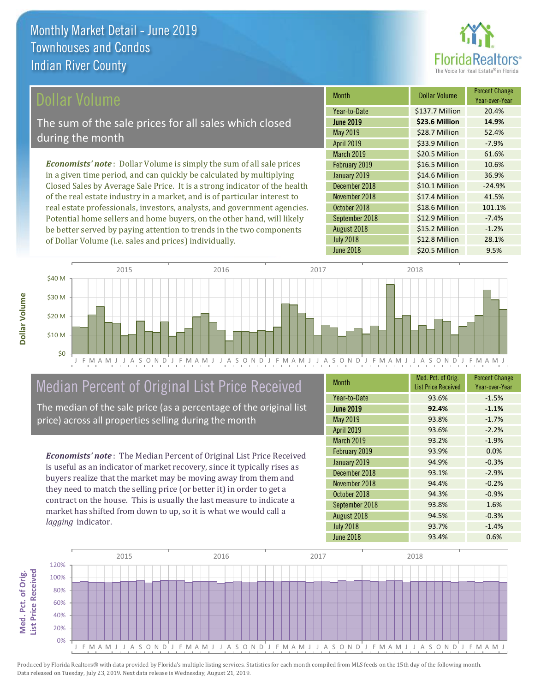

## ollar Volume

The sum of the sale prices for all sales which closed during the month

*Economists' note* : Dollar Volume is simply the sum of all sale prices in a given time period, and can quickly be calculated by multiplying Closed Sales by Average Sale Price. It is a strong indicator of the health of the real estate industry in a market, and is of particular interest to real estate professionals, investors, analysts, and government agencies. Potential home sellers and home buyers, on the other hand, will likely be better served by paying attention to trends in the two components of Dollar Volume (i.e. sales and prices) individually.

| Month             | <b>Dollar Volume</b> | <b>Percent Change</b><br>Year-over-Year |
|-------------------|----------------------|-----------------------------------------|
| Year-to-Date      | \$137.7 Million      | 20.4%                                   |
| <b>June 2019</b>  | \$23.6 Million       | 14.9%                                   |
| May 2019          | \$28.7 Million       | 52.4%                                   |
| April 2019        | \$33.9 Million       | $-7.9%$                                 |
| <b>March 2019</b> | \$20.5 Million       | 61.6%                                   |
| February 2019     | \$16.5 Million       | 10.6%                                   |
| January 2019      | \$14.6 Million       | 36.9%                                   |
| December 2018     | \$10.1 Million       | $-24.9%$                                |
| November 2018     | \$17.4 Million       | 41.5%                                   |
| October 2018      | \$18.6 Million       | 101.1%                                  |
| September 2018    | \$12.9 Million       | $-7.4%$                                 |
| August 2018       | \$15.2 Million       | $-1.2%$                                 |
| <b>July 2018</b>  | \$12.8 Million       | 28.1%                                   |
| <b>June 2018</b>  | \$20.5 Million       | 9.5%                                    |



# Median Percent of Original List Price Received

The median of the sale price (as a percentage of the original list price) across all properties selling during the month

*Economists' note* : The Median Percent of Original List Price Received is useful as an indicator of market recovery, since it typically rises as buyers realize that the market may be moving away from them and they need to match the selling price (or better it) in order to get a contract on the house. This is usually the last measure to indicate a market has shifted from down to up, so it is what we would call a *lagging* indicator.

| <b>Month</b>      | Med. Pct. of Orig.<br><b>List Price Received</b> | <b>Percent Change</b><br>Year-over-Year |
|-------------------|--------------------------------------------------|-----------------------------------------|
| Year-to-Date      | 93.6%                                            | $-1.5%$                                 |
| <b>June 2019</b>  | 92.4%                                            | $-1.1%$                                 |
| May 2019          | 93.8%                                            | $-1.7%$                                 |
| <b>April 2019</b> | 93.6%                                            | $-2.2%$                                 |
| <b>March 2019</b> | 93.2%                                            | $-1.9%$                                 |
| February 2019     | 93.9%                                            | 0.0%                                    |
| January 2019      | 94.9%                                            | $-0.3%$                                 |
| December 2018     | 93.1%                                            | $-2.9%$                                 |
| November 2018     | 94.4%                                            | $-0.2%$                                 |
| October 2018      | 94.3%                                            | $-0.9%$                                 |
| September 2018    | 93.8%                                            | 1.6%                                    |
| August 2018       | 94.5%                                            | $-0.3%$                                 |
| <b>July 2018</b>  | 93.7%                                            | $-1.4%$                                 |
| <b>June 2018</b>  | 93.4%                                            | 0.6%                                    |

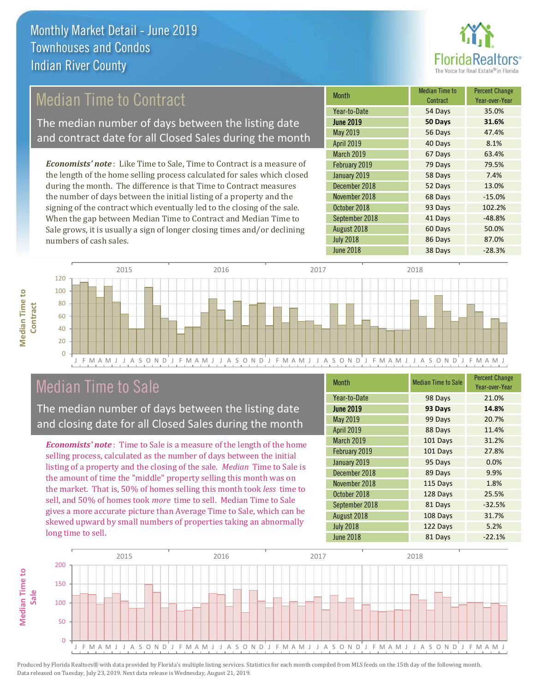

## Median Time to Contract

The median number of days between the listing date and contract date for all Closed Sales during the month

*Economists' note* : Like Time to Sale, Time to Contract is a measure of the length of the home selling process calculated for sales which closed during the month. The difference is that Time to Contract measures the number of days between the initial listing of a property and the signing of the contract which eventually led to the closing of the sale. When the gap between Median Time to Contract and Median Time to Sale grows, it is usually a sign of longer closing times and/or declining numbers of cash sales.

| <b>Month</b>      | <b>Median Time to</b><br>Contract | <b>Percent Change</b><br>Year-over-Year |
|-------------------|-----------------------------------|-----------------------------------------|
| Year-to-Date      | 54 Days                           | 35.0%                                   |
| <b>June 2019</b>  | 50 Days                           | 31.6%                                   |
| May 2019          | 56 Days                           | 47.4%                                   |
| <b>April 2019</b> | 40 Days                           | 8.1%                                    |
| <b>March 2019</b> | 67 Days                           | 63.4%                                   |
| February 2019     | 79 Days                           | 79.5%                                   |
| January 2019      | 58 Days                           | 7.4%                                    |
| December 2018     | 52 Days                           | 13.0%                                   |
| November 2018     | 68 Days                           | $-15.0%$                                |
| October 2018      | 93 Days                           | 102.2%                                  |
| September 2018    | 41 Days                           | $-48.8%$                                |
| August 2018       | 60 Days                           | 50.0%                                   |
| <b>July 2018</b>  | 86 Days                           | 87.0%                                   |
| <b>June 2018</b>  | 38 Days                           | $-28.3%$                                |



## Median Time to Sale

**Median Time to** 

**Median Time to** 

The median number of days between the listing date and closing date for all Closed Sales during the month

*Economists' note* : Time to Sale is a measure of the length of the home selling process, calculated as the number of days between the initial listing of a property and the closing of the sale. *Median* Time to Sale is the amount of time the "middle" property selling this month was on the market. That is, 50% of homes selling this month took *less* time to sell, and 50% of homes took *more* time to sell. Median Time to Sale gives a more accurate picture than Average Time to Sale, which can be skewed upward by small numbers of properties taking an abnormally long time to sell.

| <b>Month</b>      | <b>Median Time to Sale</b> | <b>Percent Change</b><br>Year-over-Year |
|-------------------|----------------------------|-----------------------------------------|
| Year-to-Date      | 98 Days                    | 21.0%                                   |
| <b>June 2019</b>  | 93 Days                    | 14.8%                                   |
| May 2019          | 99 Days                    | 20.7%                                   |
| <b>April 2019</b> | 88 Days                    | 11.4%                                   |
| March 2019        | 101 Days                   | 31.2%                                   |
| February 2019     | 101 Days                   | 27.8%                                   |
| January 2019      | 95 Days                    | 0.0%                                    |
| December 2018     | 89 Days                    | 9.9%                                    |
| November 2018     | 115 Days                   | 1.8%                                    |
| October 2018      | 128 Days                   | 25.5%                                   |
| September 2018    | 81 Days                    | $-32.5%$                                |
| August 2018       | 108 Days                   | 31.7%                                   |
| <b>July 2018</b>  | 122 Days                   | 5.2%                                    |
| <b>June 2018</b>  | 81 Days                    | $-22.1%$                                |

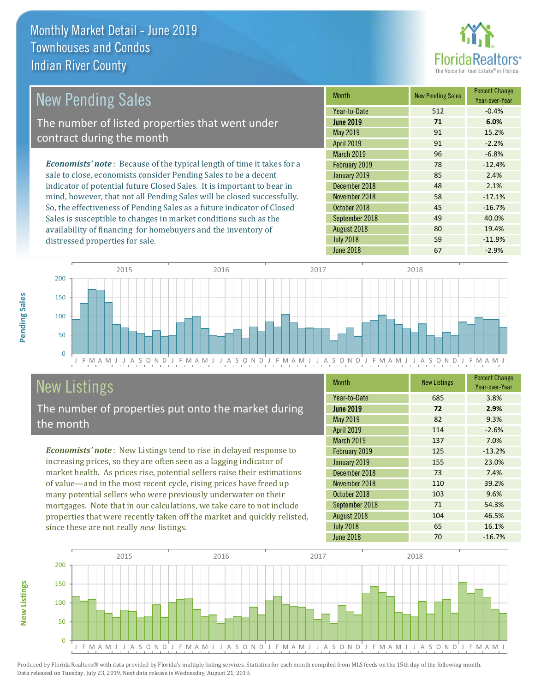distressed properties for sale.



#### *Economists' note* : Because of the typical length of time it takes for a sale to close, economists consider Pending Sales to be a decent indicator of potential future Closed Sales. It is important to bear in mind, however, that not all Pending Sales will be closed successfully. So, the effectiveness of Pending Sales as a future indicator of Closed Sales is susceptible to changes in market conditions such as the Month New Pending Sales Percent Change Year-over-Year June 2019 **71 6.0%** Year-to-Date 512 -0.4% November 2018 **58** -17.1% May 2019 91 91 15.2% April 2019 **91** -2.2% January 2019 85 2.4% December 2018 18 48 2.1% March 2019 **96** -6.8% February 2019 78 -12.4% October 2018 **45** -16.7% September 2018 **49** 40.0% New Pending Sales The number of listed properties that went under contract during the month



# New Listings

The number of properties put onto the market during the month

availability of financing for homebuyers and the inventory of

*Economists' note* : New Listings tend to rise in delayed response to increasing prices, so they are often seen as a lagging indicator of market health. As prices rise, potential sellers raise their estimations of value—and in the most recent cycle, rising prices have freed up many potential sellers who were previously underwater on their mortgages. Note that in our calculations, we take care to not include properties that were recently taken off the market and quickly relisted, since these are not really *new* listings.

| <b>Month</b>      | <b>New Listings</b> | <b>Percent Change</b><br>Year-over-Year |
|-------------------|---------------------|-----------------------------------------|
| Year-to-Date      | 685                 | 3.8%                                    |
| <b>June 2019</b>  | 72                  | 2.9%                                    |
| May 2019          | 82                  | 9.3%                                    |
| <b>April 2019</b> | 114                 | $-2.6%$                                 |
| <b>March 2019</b> | 137                 | 7.0%                                    |
| February 2019     | 125                 | $-13.2%$                                |
| January 2019      | 155                 | 23.0%                                   |
| December 2018     | 73                  | 7.4%                                    |
| November 2018     | 110                 | 39.2%                                   |
| October 2018      | 103                 | 9.6%                                    |
| September 2018    | 71                  | 54.3%                                   |
| August 2018       | 104                 | 46.5%                                   |
| <b>July 2018</b>  | 65                  | 16.1%                                   |
| <b>June 2018</b>  | 70                  | $-16.7%$                                |

August 2018 **80** 19.4% July 2018 **59** -11.9%



Produced by Florida Realtors® with data provided by Florida's multiple listing services. Statistics for each month compiled from MLS feeds on the 15th day of the following month. Data released on Tuesday, July 23, 2019. Next data release is Wednesday, August 21, 2019.

**New Listings**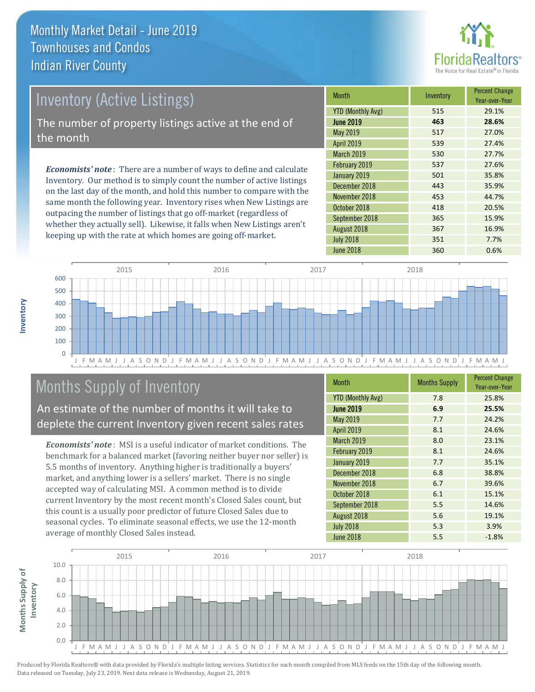

# Inventory (Active Listings)

The number of property listings active at the end of the month

*Economists' note* : There are a number of ways to define and calculate Inventory. Our method is to simply count the number of active listings on the last day of the month, and hold this number to compare with the same month the following year. Inventory rises when New Listings are outpacing the number of listings that go off-market (regardless of whether they actually sell). Likewise, it falls when New Listings aren't keeping up with the rate at which homes are going off-market.

| <b>Month</b>             | Inventory | <b>Percent Change</b><br>Year-over-Year |
|--------------------------|-----------|-----------------------------------------|
| <b>YTD (Monthly Avg)</b> | 515       | 29.1%                                   |
| <b>June 2019</b>         | 463       | 28.6%                                   |
| May 2019                 | 517       | 27.0%                                   |
| <b>April 2019</b>        | 539       | 27.4%                                   |
| <b>March 2019</b>        | 530       | 27.7%                                   |
| February 2019            | 537       | 27.6%                                   |
| January 2019             | 501       | 35.8%                                   |
| December 2018            | 443       | 35.9%                                   |
| November 2018            | 453       | 44.7%                                   |
| October 2018             | 418       | 20.5%                                   |
| September 2018           | 365       | 15.9%                                   |
| August 2018              | 367       | 16.9%                                   |
| <b>July 2018</b>         | 351       | 7.7%                                    |
| <b>June 2018</b>         | 360       | 0.6%                                    |



# Months Supply of Inventory

An estimate of the number of months it will take to deplete the current Inventory given recent sales rates

*Economists' note* : MSI is a useful indicator of market conditions. The benchmark for a balanced market (favoring neither buyer nor seller) is 5.5 months of inventory. Anything higher is traditionally a buyers' market, and anything lower is a sellers' market. There is no single accepted way of calculating MSI. A common method is to divide current Inventory by the most recent month's Closed Sales count, but this count is a usually poor predictor of future Closed Sales due to seasonal cycles. To eliminate seasonal effects, we use the 12-month average of monthly Closed Sales instead.

| <b>Month</b>             | <b>Months Supply</b> | <b>Percent Change</b><br>Year-over-Year |
|--------------------------|----------------------|-----------------------------------------|
| <b>YTD (Monthly Avg)</b> | 7.8                  | 25.8%                                   |
| <b>June 2019</b>         | 6.9                  | 25.5%                                   |
| <b>May 2019</b>          | 7.7                  | 24.2%                                   |
| April 2019               | 8.1                  | 24.6%                                   |
| <b>March 2019</b>        | 8.0                  | 23.1%                                   |
| February 2019            | 8.1                  | 24.6%                                   |
| January 2019             | 7.7                  | 35.1%                                   |
| December 2018            | 6.8                  | 38.8%                                   |
| November 2018            | 6.7                  | 39.6%                                   |
| October 2018             | 6.1                  | 15.1%                                   |
| September 2018           | 5.5                  | 14.6%                                   |
| August 2018              | 5.6                  | 19.1%                                   |
| <b>July 2018</b>         | 5.3                  | 3.9%                                    |
| <b>June 2018</b>         | 5.5                  | $-1.8%$                                 |

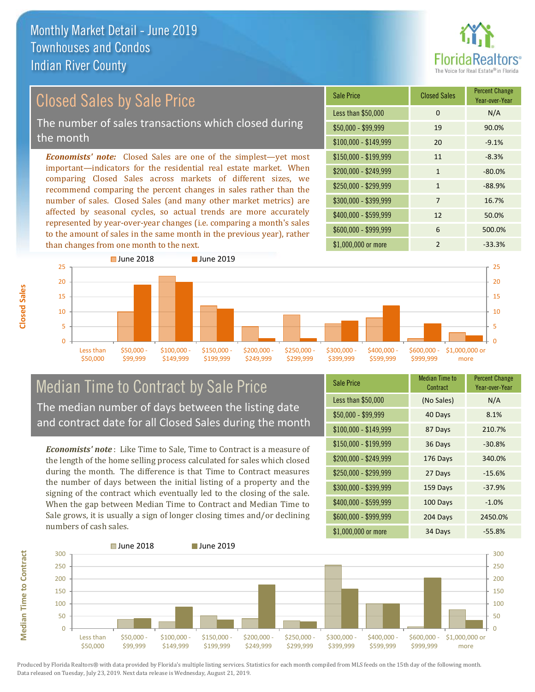

# Closed Sales by Sale Price

The number of sales transactions which closed during the month

*Economists' note:* Closed Sales are one of the simplest—yet most important—indicators for the residential real estate market. When comparing Closed Sales across markets of different sizes, we recommend comparing the percent changes in sales rather than the number of sales. Closed Sales (and many other market metrics) are affected by seasonal cycles, so actual trends are more accurately represented by year-over-year changes (i.e. comparing a month's sales to the amount of sales in the same month in the previous year), rather than changes from one month to the next.





## Median Time to Contract by Sale Price The median number of days between the listing date and contract date for all Closed Sales during the month

*Economists' note* : Like Time to Sale, Time to Contract is a measure of the length of the home selling process calculated for sales which closed during the month. The difference is that Time to Contract measures the number of days between the initial listing of a property and the signing of the contract which eventually led to the closing of the sale. When the gap between Median Time to Contract and Median Time to Sale grows, it is usually a sign of longer closing times and/or declining numbers of cash sales.

| <b>Sale Price</b>     | Median Time to<br>Contract | <b>Percent Change</b><br>Year-over-Year |
|-----------------------|----------------------------|-----------------------------------------|
| Less than \$50,000    | (No Sales)                 | N/A                                     |
| $$50,000 - $99,999$   | 40 Days                    | 8.1%                                    |
| $$100,000 - $149,999$ | 87 Days                    | 210.7%                                  |
| $$150,000 - $199,999$ | 36 Days                    | $-30.8%$                                |
| \$200,000 - \$249,999 | 176 Days                   | 340.0%                                  |
| \$250,000 - \$299,999 | 27 Days                    | $-15.6%$                                |
| \$300,000 - \$399,999 | 159 Days                   | $-37.9%$                                |
| \$400,000 - \$599,999 | 100 Days                   | $-1.0%$                                 |
| \$600,000 - \$999,999 | 204 Days                   | 2450.0%                                 |
| \$1,000,000 or more   | 34 Days                    | $-55.8%$                                |



Produced by Florida Realtors® with data provided by Florida's multiple listing services. Statistics for each month compiled from MLS feeds on the 15th day of the following month. Data released on Tuesday, July 23, 2019. Next data release is Wednesday, August 21, 2019.

**Median Time to Contract**

**Median Time to Contract**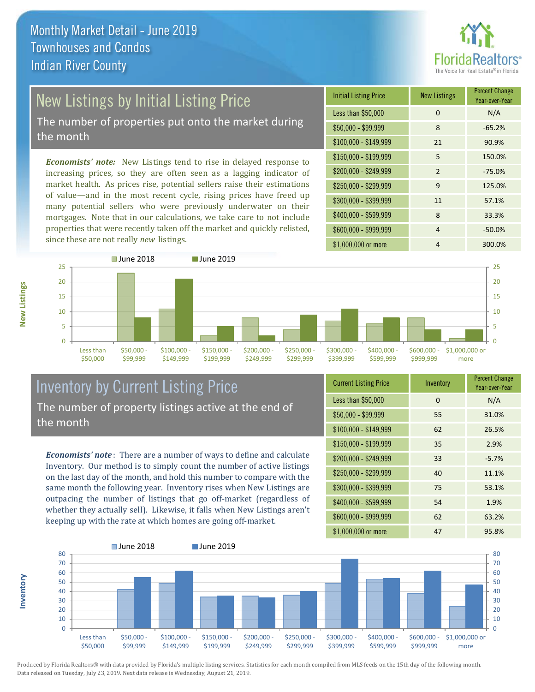

# New Listings by Initial Listing Price

The number of properties put onto the market during the month

*Economists' note:* New Listings tend to rise in delayed response to increasing prices, so they are often seen as a lagging indicator of market health. As prices rise, potential sellers raise their estimations of value—and in the most recent cycle, rising prices have freed up many potential sellers who were previously underwater on their mortgages. Note that in our calculations, we take care to not include properties that were recently taken off the market and quickly relisted, since these are not really *new* listings.

| <b>Initial Listing Price</b> | <b>New Listings</b> | <b>Percent Change</b><br>Year-over-Year |
|------------------------------|---------------------|-----------------------------------------|
| Less than \$50,000           | 0                   | N/A                                     |
| $$50,000 - $99,999$          | 8                   | $-65.2%$                                |
| $$100,000 - $149,999$        | 21                  | 90.9%                                   |
| \$150,000 - \$199,999        | 5                   | 150.0%                                  |
| \$200,000 - \$249,999        | $\mathfrak{p}$      | $-75.0%$                                |
| \$250,000 - \$299,999        | 9                   | 125.0%                                  |
| \$300,000 - \$399,999        | 11                  | 57.1%                                   |
| \$400,000 - \$599,999        | 8                   | 33.3%                                   |
| \$600,000 - \$999,999        | 4                   | $-50.0%$                                |
| \$1,000,000 or more          | 4                   | 300.0%                                  |



## Inventory by Current Listing Price The number of property listings active at the end of the month

*Economists' note* : There are a number of ways to define and calculate Inventory. Our method is to simply count the number of active listings on the last day of the month, and hold this number to compare with the same month the following year. Inventory rises when New Listings are outpacing the number of listings that go off-market (regardless of whether they actually sell). Likewise, it falls when New Listings aren't keeping up with the rate at which homes are going off-market.

| <b>Current Listing Price</b> | Inventory | <b>Percent Change</b><br>Year-over-Year |
|------------------------------|-----------|-----------------------------------------|
| Less than \$50,000           | $\Omega$  | N/A                                     |
| $$50,000 - $99,999$          | 55        | 31.0%                                   |
| $$100,000 - $149,999$        | 62        | 26.5%                                   |
| $$150,000 - $199,999$        | 35        | 2.9%                                    |
| \$200,000 - \$249,999        | 33        | $-5.7%$                                 |
| \$250,000 - \$299,999        | 40        | 11.1%                                   |
| \$300,000 - \$399,999        | 75        | 53.1%                                   |
| \$400,000 - \$599,999        | 54        | 1.9%                                    |
| \$600,000 - \$999,999        | 62        | 63.2%                                   |
| \$1,000,000 or more          | 47        | 95.8%                                   |



Produced by Florida Realtors® with data provided by Florida's multiple listing services. Statistics for each month compiled from MLS feeds on the 15th day of the following month. Data released on Tuesday, July 23, 2019. Next data release is Wednesday, August 21, 2019.

**Inventory**